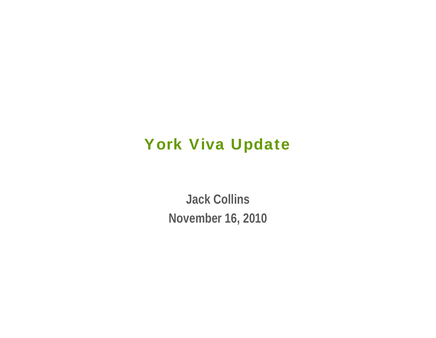#### York Viva Update

**Jack Collins November 16, 2010**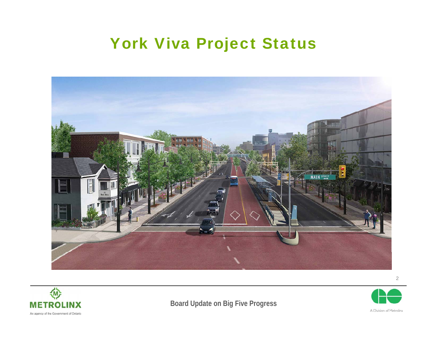### York Viva Project Status





**Board Update on Big Five Progress**



2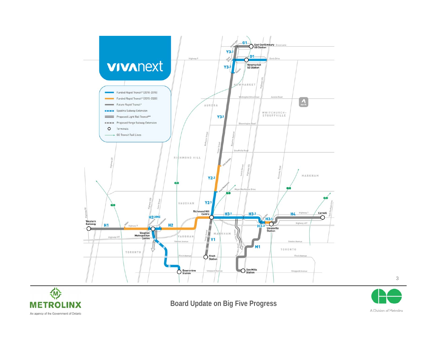



**Board Update on Big Five Progress**



3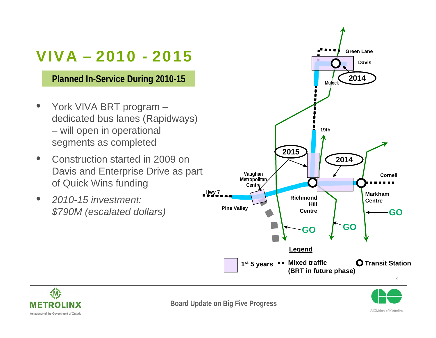## VIVA – 2010 - 2015

**Planned In-Service During 2010-15**

- York VIVA BRT program dedicated bus lanes (Rapidways) – will open in operational segments as completed
- Construction started in 2009 on Davis and Enterprise Drive as part of Quick Wins funding
- *2010-15 investment: \$790M (escalated dollars)*



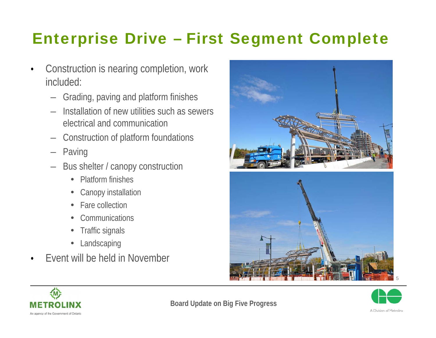## Enterprise Drive – First Segment Complete

- Construction is nearing completion, work included:
	- Grading, paving and platform finishes
	- Installation of new utilities such as sewers electrical and communication
	- Construction of platform foundations
	- Paving
	- Bus shelter / canopy construction
		- Platform finishes
		- $\bullet$ Canopy installation
		- $\bullet$ Fare collection
		- $\bullet$ **Communications**
		- $\bullet$ Traffic signals
		- $\bullet$ Landscaping
- Event will be held in November







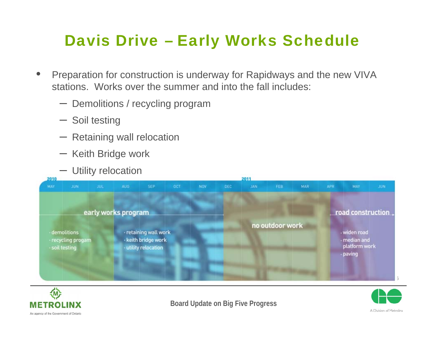## Davis Drive – Early Works Schedule

- Preparation for construction is underway for Rapidways and the new VIVA stations. Works over the summer and into the fall includes:
	- Demolitions / recycling program
	- Soil testing
	- Retaining wall relocation
	- Keith Bridge work
	- Utility relocation





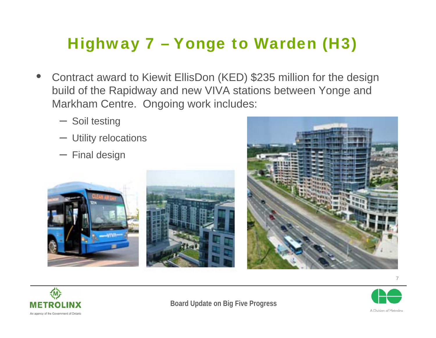# Highway 7 – Yonge to Warden (H3)

- Contract award to Kiewit EllisDon (KED) \$235 million for the design build of the Rapidway and new VIVA stations between Yonge and Markham Centre. Ongoing work includes:
	- Soil testing
	- Utility relocations
	- Final design











7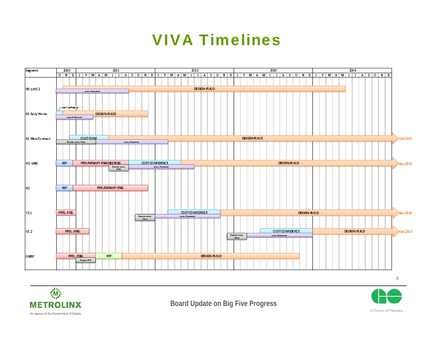#### VIVA Timelines





**Board Update on Big Five Progress**

A Division of Metrolinx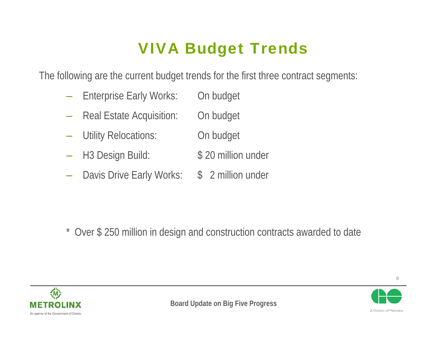# VIVA Budget Trends

The following are the current budget trends for the first three contract segments:

- Enterprise Early Works: On budget
- Real Estate Acquisition: On budget
- Utility Relocations: On budget
- H3 Design Build: \$20 million under
- Davis Drive Early Works: \$ 2 million under

\* Over \$ 250 million in design and construction contracts awarded to date